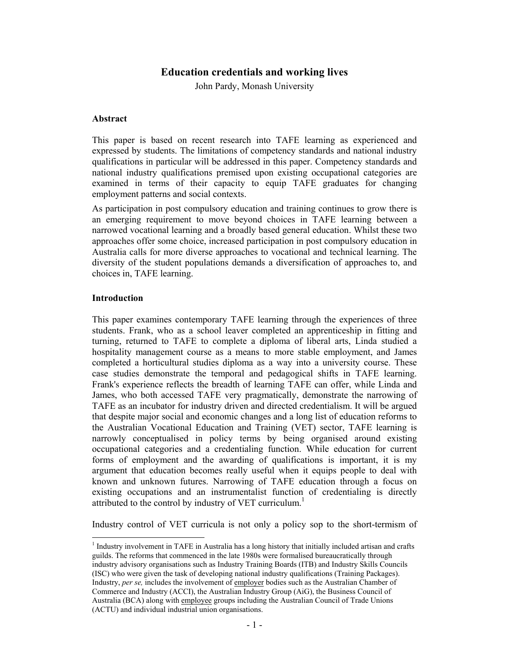# **Education credentials and working lives**

John Pardy, Monash University

# **Abstract**

This paper is based on recent research into TAFE learning as experienced and expressed by students. The limitations of competency standards and national industry qualifications in particular will be addressed in this paper. Competency standards and national industry qualifications premised upon existing occupational categories are examined in terms of their capacity to equip TAFE graduates for changing employment patterns and social contexts.

As participation in post compulsory education and training continues to grow there is an emerging requirement to move beyond choices in TAFE learning between a narrowed vocational learning and a broadly based general education. Whilst these two approaches offer some choice, increased participation in post compulsory education in Australia calls for more diverse approaches to vocational and technical learning. The diversity of the student populations demands a diversification of approaches to, and choices in, TAFE learning.

## **Introduction**

 $\overline{a}$ 

This paper examines contemporary TAFE learning through the experiences of three students. Frank, who as a school leaver completed an apprenticeship in fitting and turning, returned to TAFE to complete a diploma of liberal arts, Linda studied a hospitality management course as a means to more stable employment, and James completed a horticultural studies diploma as a way into a university course. These case studies demonstrate the temporal and pedagogical shifts in TAFE learning. Frank's experience reflects the breadth of learning TAFE can offer, while Linda and James, who both accessed TAFE very pragmatically, demonstrate the narrowing of TAFE as an incubator for industry driven and directed credentialism. It will be argued that despite major social and economic changes and a long list of education reforms to the Australian Vocational Education and Training (VET) sector, TAFE learning is narrowly conceptualised in policy terms by being organised around existing occupational categories and a credentialing function. While education for current forms of employment and the awarding of qualifications is important, it is my argument that education becomes really useful when it equips people to deal with known and unknown futures. Narrowing of TAFE education through a focus on existing occupations and an instrumentalist function of credentialing is directly attributed to the control by industry of VET curriculum.<sup>1</sup>

Industry control of VET curricula is not only a policy sop to the short-termism of

<sup>&</sup>lt;sup>1</sup> Industry involvement in TAFE in Australia has a long history that initially included artisan and crafts guilds. The reforms that commenced in the late 1980s were formalised bureaucratically through industry advisory organisations such as Industry Training Boards (ITB) and Industry Skills Councils (ISC) who were given the task of developing national industry qualifications (Training Packages). Industry, *per se,* includes the involvement of employer bodies such as the Australian Chamber of Commerce and Industry (ACCI), the Australian Industry Group (AiG), the Business Council of Australia (BCA) along with employee groups including the Australian Council of Trade Unions (ACTU) and individual industrial union organisations.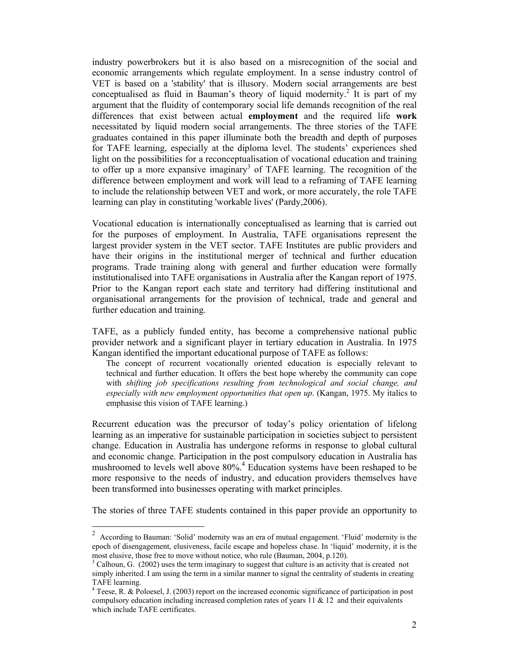industry powerbrokers but it is also based on a misrecognition of the social and economic arrangements which regulate employment. In a sense industry control of VET is based on a 'stability' that is illusory. Modern social arrangements are best conceptualised as fluid in Bauman's theory of liquid modernity.<sup>2</sup> It is part of my argument that the fluidity of contemporary social life demands recognition of the real differences that exist between actual **employment** and the required life **work** necessitated by liquid modern social arrangements. The three stories of the TAFE graduates contained in this paper illuminate both the breadth and depth of purposes for TAFE learning, especially at the diploma level. The students' experiences shed light on the possibilities for a reconceptualisation of vocational education and training to offer up a more expansive imaginary<sup>3</sup> of TAFE learning. The recognition of the difference between employment and work will lead to a reframing of TAFE learning to include the relationship between VET and work, or more accurately, the role TAFE learning can play in constituting 'workable lives' (Pardy,2006).

Vocational education is internationally conceptualised as learning that is carried out for the purposes of employment. In Australia, TAFE organisations represent the largest provider system in the VET sector. TAFE Institutes are public providers and have their origins in the institutional merger of technical and further education programs. Trade training along with general and further education were formally institutionalised into TAFE organisations in Australia after the Kangan report of 1975. Prior to the Kangan report each state and territory had differing institutional and organisational arrangements for the provision of technical, trade and general and further education and training.

TAFE, as a publicly funded entity, has become a comprehensive national public provider network and a significant player in tertiary education in Australia. In 1975 Kangan identified the important educational purpose of TAFE as follows:

The concept of recurrent vocationally oriented education is especially relevant to technical and further education. It offers the best hope whereby the community can cope with *shifting job specifications resulting from technological and social change, and especially with new employment opportunities that open up*. (Kangan, 1975. My italics to emphasise this vision of TAFE learning.)

Recurrent education was the precursor of today's policy orientation of lifelong learning as an imperative for sustainable participation in societies subject to persistent change. Education in Australia has undergone reforms in response to global cultural and economic change. Participation in the post compulsory education in Australia has mushroomed to levels well above 80%.<sup>4</sup> Education systems have been reshaped to be more responsive to the needs of industry, and education providers themselves have been transformed into businesses operating with market principles.

The stories of three TAFE students contained in this paper provide an opportunity to

 $\overline{a}$ 

<sup>&</sup>lt;sup>2</sup> According to Bauman: 'Solid' modernity was an era of mutual engagement. 'Fluid' modernity is the epoch of disengagement, elusiveness, facile escape and hopeless chase. In 'liquid' modernity, it is the most elusive, those free to move without notice, who rule (Bauman, 2004, p.120).

 $3$  Calhoun, G. (2002) uses the term imaginary to suggest that culture is an activity that is created not simply inherited. I am using the term in a similar manner to signal the centrality of students in creating TAFE learning.

<sup>&</sup>lt;sup>4</sup> Teese, R. & Poloesel, J. (2003) report on the increased economic significance of participation in post compulsory education including increased completion rates of years  $11 \& 12$  and their equivalents which include TAFE certificates.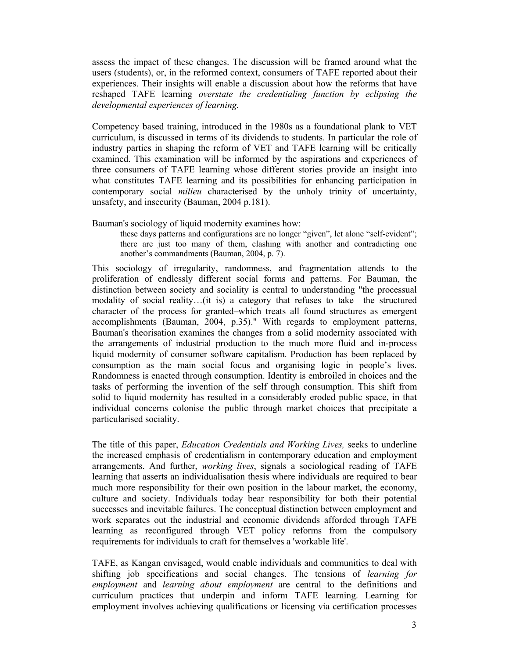assess the impact of these changes. The discussion will be framed around what the users (students), or, in the reformed context, consumers of TAFE reported about their experiences. Their insights will enable a discussion about how the reforms that have reshaped TAFE learning *overstate the credentialing function by eclipsing the developmental experiences of learning.* 

Competency based training, introduced in the 1980s as a foundational plank to VET curriculum, is discussed in terms of its dividends to students. In particular the role of industry parties in shaping the reform of VET and TAFE learning will be critically examined. This examination will be informed by the aspirations and experiences of three consumers of TAFE learning whose different stories provide an insight into what constitutes TAFE learning and its possibilities for enhancing participation in contemporary social *milieu* characterised by the unholy trinity of uncertainty, unsafety, and insecurity (Bauman, 2004 p.181).

Bauman's sociology of liquid modernity examines how:

these days patterns and configurations are no longer "given", let alone "self-evident"; there are just too many of them, clashing with another and contradicting one another's commandments (Bauman, 2004, p. 7).

This sociology of irregularity, randomness, and fragmentation attends to the proliferation of endlessly different social forms and patterns. For Bauman, the distinction between society and sociality is central to understanding "the processual modality of social reality…(it is) a category that refuses to take the structured character of the process for granted–which treats all found structures as emergent accomplishments (Bauman, 2004, p.35)." With regards to employment patterns, Bauman's theorisation examines the changes from a solid modernity associated with the arrangements of industrial production to the much more fluid and in-process liquid modernity of consumer software capitalism. Production has been replaced by consumption as the main social focus and organising logic in people's lives. Randomness is enacted through consumption. Identity is embroiled in choices and the tasks of performing the invention of the self through consumption. This shift from solid to liquid modernity has resulted in a considerably eroded public space, in that individual concerns colonise the public through market choices that precipitate a particularised sociality.

The title of this paper, *Education Credentials and Working Lives,* seeks to underline the increased emphasis of credentialism in contemporary education and employment arrangements. And further, *working lives*, signals a sociological reading of TAFE learning that asserts an individualisation thesis where individuals are required to bear much more responsibility for their own position in the labour market, the economy, culture and society. Individuals today bear responsibility for both their potential successes and inevitable failures. The conceptual distinction between employment and work separates out the industrial and economic dividends afforded through TAFE learning as reconfigured through VET policy reforms from the compulsory requirements for individuals to craft for themselves a 'workable life'.

TAFE, as Kangan envisaged, would enable individuals and communities to deal with shifting job specifications and social changes. The tensions of *learning for employment* and *learning about employment* are central to the definitions and curriculum practices that underpin and inform TAFE learning. Learning for employment involves achieving qualifications or licensing via certification processes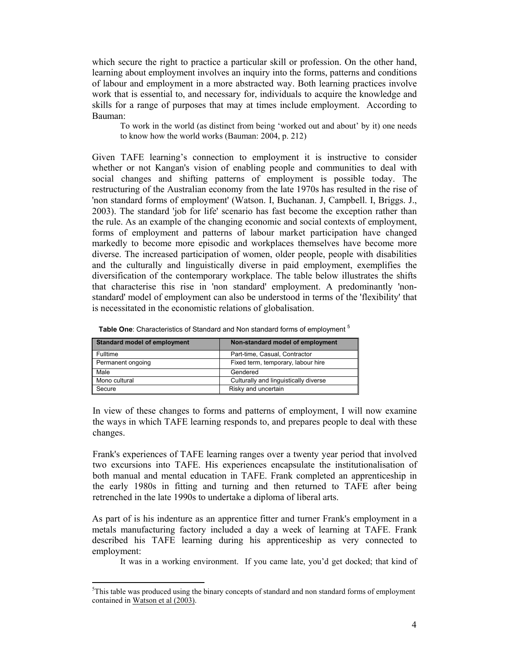which secure the right to practice a particular skill or profession. On the other hand, learning about employment involves an inquiry into the forms, patterns and conditions of labour and employment in a more abstracted way. Both learning practices involve work that is essential to, and necessary for, individuals to acquire the knowledge and skills for a range of purposes that may at times include employment. According to Bauman:

To work in the world (as distinct from being 'worked out and about' by it) one needs to know how the world works (Bauman: 2004, p. 212)

Given TAFE learning's connection to employment it is instructive to consider whether or not Kangan's vision of enabling people and communities to deal with social changes and shifting patterns of employment is possible today. The restructuring of the Australian economy from the late 1970s has resulted in the rise of 'non standard forms of employment' (Watson. I, Buchanan. J, Campbell. I, Briggs. J., 2003). The standard 'job for life' scenario has fast become the exception rather than the rule. As an example of the changing economic and social contexts of employment, forms of employment and patterns of labour market participation have changed markedly to become more episodic and workplaces themselves have become more diverse. The increased participation of women, older people, people with disabilities and the culturally and linguistically diverse in paid employment, exemplifies the diversification of the contemporary workplace. The table below illustrates the shifts that characterise this rise in 'non standard' employment. A predominantly 'nonstandard' model of employment can also be understood in terms of the 'flexibility' that is necessitated in the economistic relations of globalisation.

| Standard model of employment | Non-standard model of employment      |
|------------------------------|---------------------------------------|
| Fulltime                     | Part-time, Casual, Contractor         |
| Permanent ongoing            | Fixed term, temporary, labour hire    |
| Male                         | Gendered                              |
| Mono cultural                | Culturally and linguistically diverse |
| Secure                       | Risky and uncertain                   |

Table One: Characteristics of Standard and Non standard forms of employment <sup>5</sup>

In view of these changes to forms and patterns of employment, I will now examine the ways in which TAFE learning responds to, and prepares people to deal with these changes.

Frank's experiences of TAFE learning ranges over a twenty year period that involved two excursions into TAFE. His experiences encapsulate the institutionalisation of both manual and mental education in TAFE. Frank completed an apprenticeship in the early 1980s in fitting and turning and then returned to TAFE after being retrenched in the late 1990s to undertake a diploma of liberal arts.

As part of is his indenture as an apprentice fitter and turner Frank's employment in a metals manufacturing factory included a day a week of learning at TAFE. Frank described his TAFE learning during his apprenticeship as very connected to employment:

It was in a working environment. If you came late, you'd get docked; that kind of

 $\overline{a}$ 

 $5$ This table was produced using the binary concepts of standard and non standard forms of employment contained in Watson et al (2003).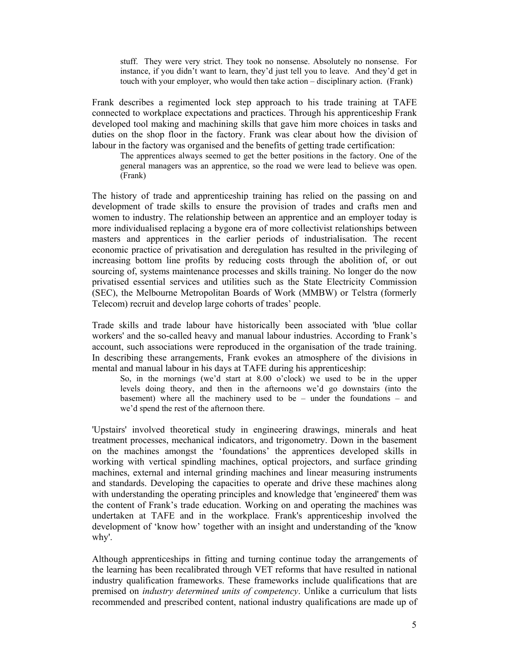stuff. They were very strict. They took no nonsense. Absolutely no nonsense. For instance, if you didn't want to learn, they'd just tell you to leave. And they'd get in touch with your employer, who would then take action – disciplinary action. (Frank)

Frank describes a regimented lock step approach to his trade training at TAFE connected to workplace expectations and practices. Through his apprenticeship Frank developed tool making and machining skills that gave him more choices in tasks and duties on the shop floor in the factory. Frank was clear about how the division of labour in the factory was organised and the benefits of getting trade certification:

The apprentices always seemed to get the better positions in the factory. One of the general managers was an apprentice, so the road we were lead to believe was open. (Frank)

The history of trade and apprenticeship training has relied on the passing on and development of trade skills to ensure the provision of trades and crafts men and women to industry. The relationship between an apprentice and an employer today is more individualised replacing a bygone era of more collectivist relationships between masters and apprentices in the earlier periods of industrialisation. The recent economic practice of privatisation and deregulation has resulted in the privileging of increasing bottom line profits by reducing costs through the abolition of, or out sourcing of, systems maintenance processes and skills training. No longer do the now privatised essential services and utilities such as the State Electricity Commission (SEC), the Melbourne Metropolitan Boards of Work (MMBW) or Telstra (formerly Telecom) recruit and develop large cohorts of trades' people.

Trade skills and trade labour have historically been associated with 'blue collar workers' and the so-called heavy and manual labour industries. According to Frank's account, such associations were reproduced in the organisation of the trade training. In describing these arrangements, Frank evokes an atmosphere of the divisions in mental and manual labour in his days at TAFE during his apprenticeship:

So, in the mornings (we'd start at 8.00 o'clock) we used to be in the upper levels doing theory, and then in the afternoons we'd go downstairs (into the basement) where all the machinery used to be – under the foundations – and we'd spend the rest of the afternoon there.

'Upstairs' involved theoretical study in engineering drawings, minerals and heat treatment processes, mechanical indicators, and trigonometry. Down in the basement on the machines amongst the 'foundations' the apprentices developed skills in working with vertical spindling machines, optical projectors, and surface grinding machines, external and internal grinding machines and linear measuring instruments and standards. Developing the capacities to operate and drive these machines along with understanding the operating principles and knowledge that 'engineered' them was the content of Frank's trade education. Working on and operating the machines was undertaken at TAFE and in the workplace. Frank's apprenticeship involved the development of 'know how' together with an insight and understanding of the 'know why'.

Although apprenticeships in fitting and turning continue today the arrangements of the learning has been recalibrated through VET reforms that have resulted in national industry qualification frameworks. These frameworks include qualifications that are premised on *industry determined units of competency*. Unlike a curriculum that lists recommended and prescribed content, national industry qualifications are made up of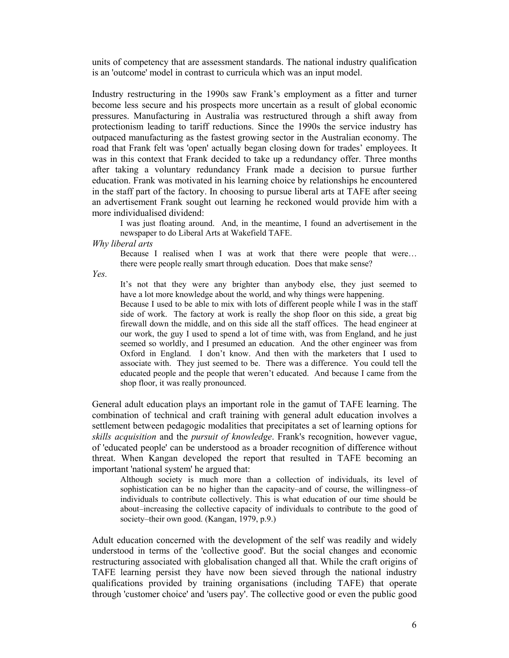units of competency that are assessment standards. The national industry qualification is an 'outcome' model in contrast to curricula which was an input model.

Industry restructuring in the 1990s saw Frank's employment as a fitter and turner become less secure and his prospects more uncertain as a result of global economic pressures. Manufacturing in Australia was restructured through a shift away from protectionism leading to tariff reductions. Since the 1990s the service industry has outpaced manufacturing as the fastest growing sector in the Australian economy. The road that Frank felt was 'open' actually began closing down for trades' employees. It was in this context that Frank decided to take up a redundancy offer. Three months after taking a voluntary redundancy Frank made a decision to pursue further education. Frank was motivated in his learning choice by relationships he encountered in the staff part of the factory. In choosing to pursue liberal arts at TAFE after seeing an advertisement Frank sought out learning he reckoned would provide him with a more individualised dividend:

I was just floating around. And, in the meantime, I found an advertisement in the newspaper to do Liberal Arts at Wakefield TAFE.

*Why liberal arts* 

Because I realised when I was at work that there were people that were… there were people really smart through education. Does that make sense?

*Yes.* 

It's not that they were any brighter than anybody else, they just seemed to have a lot more knowledge about the world, and why things were happening.

Because I used to be able to mix with lots of different people while I was in the staff side of work. The factory at work is really the shop floor on this side, a great big firewall down the middle, and on this side all the staff offices. The head engineer at our work, the guy I used to spend a lot of time with, was from England, and he just seemed so worldly, and I presumed an education. And the other engineer was from Oxford in England. I don't know. And then with the marketers that I used to associate with. They just seemed to be. There was a difference. You could tell the educated people and the people that weren't educated. And because I came from the shop floor, it was really pronounced.

General adult education plays an important role in the gamut of TAFE learning. The combination of technical and craft training with general adult education involves a settlement between pedagogic modalities that precipitates a set of learning options for *skills acquisition* and the *pursuit of knowledge*. Frank's recognition, however vague, of 'educated people' can be understood as a broader recognition of difference without threat. When Kangan developed the report that resulted in TAFE becoming an important 'national system' he argued that:

Although society is much more than a collection of individuals, its level of sophistication can be no higher than the capacity–and of course, the willingness–of individuals to contribute collectively. This is what education of our time should be about–increasing the collective capacity of individuals to contribute to the good of society–their own good. (Kangan, 1979, p.9.)

Adult education concerned with the development of the self was readily and widely understood in terms of the 'collective good'. But the social changes and economic restructuring associated with globalisation changed all that. While the craft origins of TAFE learning persist they have now been sieved through the national industry qualifications provided by training organisations (including TAFE) that operate through 'customer choice' and 'users pay'. The collective good or even the public good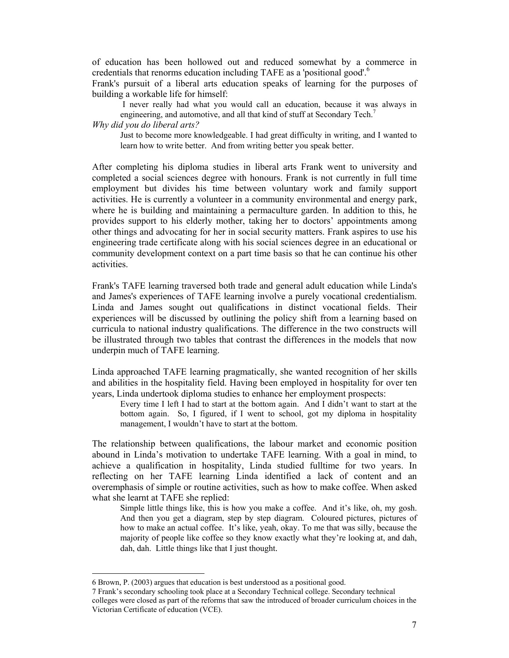of education has been hollowed out and reduced somewhat by a commerce in credentials that renorms education including TAFE as a 'positional good'.6

Frank's pursuit of a liberal arts education speaks of learning for the purposes of building a workable life for himself:

I never really had what you would call an education, because it was always in engineering, and automotive, and all that kind of stuff at Secondary Tech.<sup>7</sup>

*Why did you do liberal arts?* 

Just to become more knowledgeable. I had great difficulty in writing, and I wanted to learn how to write better. And from writing better you speak better.

After completing his diploma studies in liberal arts Frank went to university and completed a social sciences degree with honours. Frank is not currently in full time employment but divides his time between voluntary work and family support activities. He is currently a volunteer in a community environmental and energy park, where he is building and maintaining a permaculture garden. In addition to this, he provides support to his elderly mother, taking her to doctors' appointments among other things and advocating for her in social security matters. Frank aspires to use his engineering trade certificate along with his social sciences degree in an educational or community development context on a part time basis so that he can continue his other activities.

Frank's TAFE learning traversed both trade and general adult education while Linda's and James's experiences of TAFE learning involve a purely vocational credentialism. Linda and James sought out qualifications in distinct vocational fields. Their experiences will be discussed by outlining the policy shift from a learning based on curricula to national industry qualifications. The difference in the two constructs will be illustrated through two tables that contrast the differences in the models that now underpin much of TAFE learning.

Linda approached TAFE learning pragmatically, she wanted recognition of her skills and abilities in the hospitality field. Having been employed in hospitality for over ten years, Linda undertook diploma studies to enhance her employment prospects:

Every time I left I had to start at the bottom again. And I didn't want to start at the bottom again. So, I figured, if I went to school, got my diploma in hospitality management, I wouldn't have to start at the bottom.

The relationship between qualifications, the labour market and economic position abound in Linda's motivation to undertake TAFE learning. With a goal in mind, to achieve a qualification in hospitality, Linda studied fulltime for two years. In reflecting on her TAFE learning Linda identified a lack of content and an overemphasis of simple or routine activities, such as how to make coffee. When asked what she learnt at TAFE she replied:

Simple little things like, this is how you make a coffee. And it's like, oh, my gosh. And then you get a diagram, step by step diagram. Coloured pictures, pictures of how to make an actual coffee. It's like, yeah, okay. To me that was silly, because the majority of people like coffee so they know exactly what they're looking at, and dah, dah, dah. Little things like that I just thought.

 $\overline{a}$ 

<sup>6</sup> Brown, P. (2003) argues that education is best understood as a positional good.

<sup>7</sup> Frank's secondary schooling took place at a Secondary Technical college. Secondary technical colleges were closed as part of the reforms that saw the introduced of broader curriculum choices in the Victorian Certificate of education (VCE).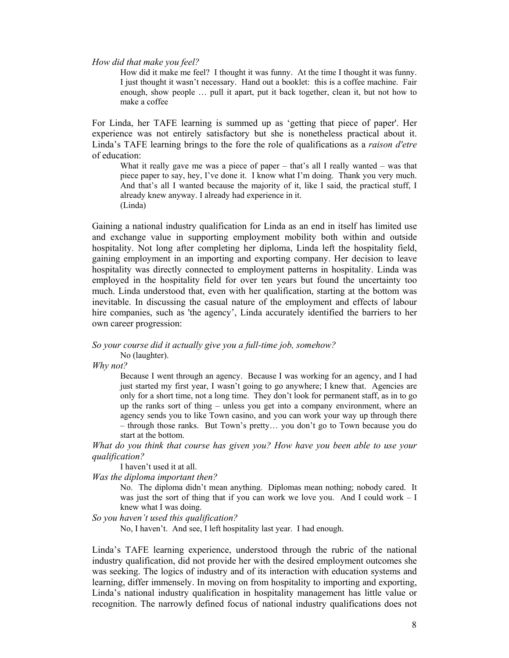*How did that make you feel?* 

How did it make me feel? I thought it was funny. At the time I thought it was funny. I just thought it wasn't necessary. Hand out a booklet: this is a coffee machine. Fair enough, show people … pull it apart, put it back together, clean it, but not how to make a coffee

For Linda, her TAFE learning is summed up as 'getting that piece of paper'. Her experience was not entirely satisfactory but she is nonetheless practical about it. Linda's TAFE learning brings to the fore the role of qualifications as a *raison d'etre* of education:

What it really gave me was a piece of paper – that's all I really wanted – was that piece paper to say, hey, I've done it. I know what I'm doing. Thank you very much. And that's all I wanted because the majority of it, like I said, the practical stuff, I already knew anyway. I already had experience in it. (Linda)

Gaining a national industry qualification for Linda as an end in itself has limited use and exchange value in supporting employment mobility both within and outside hospitality. Not long after completing her diploma, Linda left the hospitality field, gaining employment in an importing and exporting company. Her decision to leave hospitality was directly connected to employment patterns in hospitality. Linda was employed in the hospitality field for over ten years but found the uncertainty too much. Linda understood that, even with her qualification, starting at the bottom was inevitable. In discussing the casual nature of the employment and effects of labour hire companies, such as 'the agency', Linda accurately identified the barriers to her own career progression:

*So your course did it actually give you a full-time job, somehow?* 

No (laughter).

*Why not?* 

Because I went through an agency. Because I was working for an agency, and I had just started my first year, I wasn't going to go anywhere; I knew that. Agencies are only for a short time, not a long time. They don't look for permanent staff, as in to go up the ranks sort of thing – unless you get into a company environment, where an agency sends you to like Town casino, and you can work your way up through there – through those ranks. But Town's pretty… you don't go to Town because you do start at the bottom.

*What do you think that course has given you? How have you been able to use your qualification?* 

I haven't used it at all.

*Was the diploma important then?* 

No. The diploma didn't mean anything. Diplomas mean nothing; nobody cared. It was just the sort of thing that if you can work we love you. And I could work – I knew what I was doing.

#### *So you haven't used this qualification?*

No, I haven't. And see, I left hospitality last year. I had enough.

Linda's TAFE learning experience, understood through the rubric of the national industry qualification, did not provide her with the desired employment outcomes she was seeking. The logics of industry and of its interaction with education systems and learning, differ immensely. In moving on from hospitality to importing and exporting, Linda's national industry qualification in hospitality management has little value or recognition. The narrowly defined focus of national industry qualifications does not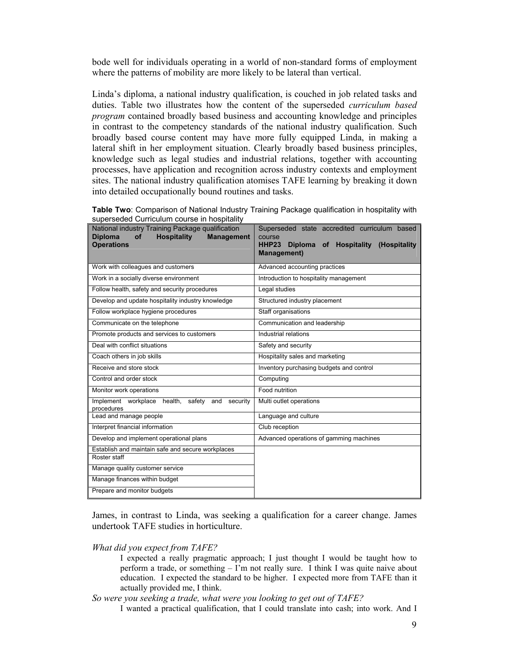bode well for individuals operating in a world of non-standard forms of employment where the patterns of mobility are more likely to be lateral than vertical.

Linda's diploma, a national industry qualification, is couched in job related tasks and duties. Table two illustrates how the content of the superseded *curriculum based program* contained broadly based business and accounting knowledge and principles in contrast to the competency standards of the national industry qualification. Such broadly based course content may have more fully equipped Linda, in making a lateral shift in her employment situation. Clearly broadly based business principles, knowledge such as legal studies and industrial relations, together with accounting processes, have application and recognition across industry contexts and employment sites. The national industry qualification atomises TAFE learning by breaking it down into detailed occupationally bound routines and tasks.

|                                             | Table Two: Comparison of National Industry Training Package qualification in hospitality with |
|---------------------------------------------|-----------------------------------------------------------------------------------------------|
| superseded Curriculum course in hospitality |                                                                                               |

| National industry Training Package qualification<br><b>Hospitality</b><br><b>Diploma</b><br><b>of</b><br><b>Management</b><br><b>Operations</b> | Superseded state accredited curriculum based<br>course<br><b>HHP23</b><br>Diploma of Hospitality (Hospitality<br><b>Management</b> ) |
|-------------------------------------------------------------------------------------------------------------------------------------------------|--------------------------------------------------------------------------------------------------------------------------------------|
| Work with colleagues and customers                                                                                                              | Advanced accounting practices                                                                                                        |
| Work in a socially diverse environment                                                                                                          | Introduction to hospitality management                                                                                               |
| Follow health, safety and security procedures                                                                                                   | Legal studies                                                                                                                        |
| Develop and update hospitality industry knowledge                                                                                               | Structured industry placement                                                                                                        |
| Follow workplace hygiene procedures                                                                                                             | Staff organisations                                                                                                                  |
| Communicate on the telephone                                                                                                                    | Communication and leadership                                                                                                         |
| Promote products and services to customers                                                                                                      | Industrial relations                                                                                                                 |
| Deal with conflict situations                                                                                                                   | Safety and security                                                                                                                  |
| Coach others in job skills                                                                                                                      | Hospitality sales and marketing                                                                                                      |
| Receive and store stock                                                                                                                         | Inventory purchasing budgets and control                                                                                             |
| Control and order stock                                                                                                                         | Computing                                                                                                                            |
| Monitor work operations                                                                                                                         | Food nutrition                                                                                                                       |
| Implement workplace health,<br>safety<br>and<br>security<br>procedures                                                                          | Multi outlet operations                                                                                                              |
| Lead and manage people                                                                                                                          | Language and culture                                                                                                                 |
| Interpret financial information                                                                                                                 | Club reception                                                                                                                       |
| Develop and implement operational plans                                                                                                         | Advanced operations of gamming machines                                                                                              |
| Establish and maintain safe and secure workplaces                                                                                               |                                                                                                                                      |
| Roster staff                                                                                                                                    |                                                                                                                                      |
| Manage quality customer service                                                                                                                 |                                                                                                                                      |
| Manage finances within budget                                                                                                                   |                                                                                                                                      |
| Prepare and monitor budgets                                                                                                                     |                                                                                                                                      |

James, in contrast to Linda, was seeking a qualification for a career change. James undertook TAFE studies in horticulture.

*What did you expect from TAFE?* 

I expected a really pragmatic approach; I just thought I would be taught how to perform a trade, or something – I'm not really sure. I think I was quite naive about education. I expected the standard to be higher. I expected more from TAFE than it actually provided me, I think.

*So were you seeking a trade, what were you looking to get out of TAFE?* 

I wanted a practical qualification, that I could translate into cash; into work. And I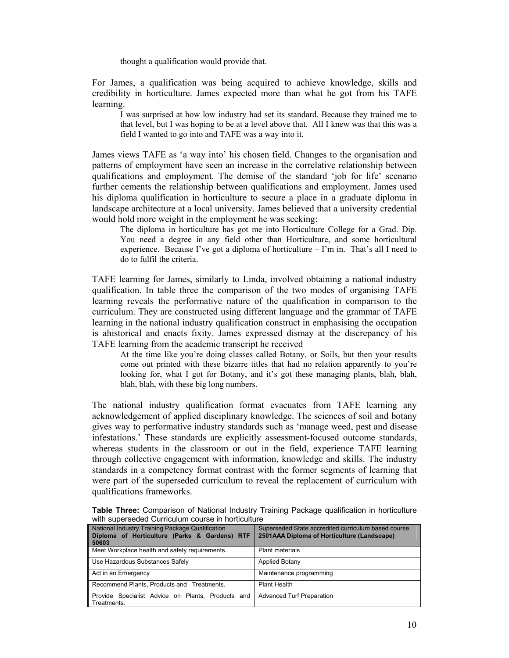thought a qualification would provide that.

For James, a qualification was being acquired to achieve knowledge, skills and credibility in horticulture. James expected more than what he got from his TAFE learning.

I was surprised at how low industry had set its standard. Because they trained me to that level, but I was hoping to be at a level above that. All I knew was that this was a field I wanted to go into and TAFE was a way into it.

James views TAFE as 'a way into' his chosen field. Changes to the organisation and patterns of employment have seen an increase in the correlative relationship between qualifications and employment. The demise of the standard 'job for life' scenario further cements the relationship between qualifications and employment. James used his diploma qualification in horticulture to secure a place in a graduate diploma in landscape architecture at a local university. James believed that a university credential would hold more weight in the employment he was seeking:

The diploma in horticulture has got me into Horticulture College for a Grad. Dip. You need a degree in any field other than Horticulture, and some horticultural experience. Because I've got a diploma of horticulture – I'm in. That's all I need to do to fulfil the criteria.

TAFE learning for James, similarly to Linda, involved obtaining a national industry qualification. In table three the comparison of the two modes of organising TAFE learning reveals the performative nature of the qualification in comparison to the curriculum. They are constructed using different language and the grammar of TAFE learning in the national industry qualification construct in emphasising the occupation is ahistorical and enacts fixity. James expressed dismay at the discrepancy of his TAFE learning from the academic transcript he received

At the time like you're doing classes called Botany, or Soils, but then your results come out printed with these bizarre titles that had no relation apparently to you're looking for, what I got for Botany, and it's got these managing plants, blah, blah, blah, blah, with these big long numbers.

The national industry qualification format evacuates from TAFE learning any acknowledgement of applied disciplinary knowledge. The sciences of soil and botany gives way to performative industry standards such as 'manage weed, pest and disease infestations.' These standards are explicitly assessment-focused outcome standards, whereas students in the classroom or out in the field, experience TAFE learning through collective engagement with information, knowledge and skills. The industry standards in a competency format contrast with the former segments of learning that were part of the superseded curriculum to reveal the replacement of curriculum with qualifications frameworks.

| Table Three: Comparison of National Industry Training Package qualification in horticulture |  |  |  |  |  |
|---------------------------------------------------------------------------------------------|--|--|--|--|--|
| with superseded Curriculum course in horticulture                                           |  |  |  |  |  |
|                                                                                             |  |  |  |  |  |

| National Industry Training Package Qualification<br>Diploma of Horticulture (Parks & Gardens) RTF<br>50603 | Superseded State accredited curriculum based course<br>2501AAA Diploma of Horticulture (Landscape) |
|------------------------------------------------------------------------------------------------------------|----------------------------------------------------------------------------------------------------|
| Meet Workplace health and safety requirements.                                                             | <b>Plant materials</b>                                                                             |
| Use Hazardous Substances Safely                                                                            | <b>Applied Botany</b>                                                                              |
| Act in an Emergency                                                                                        | Maintenance programming                                                                            |
| Recommend Plants, Products and Treatments.                                                                 | Plant Health                                                                                       |
| Provide Specialist Advice on Plants. Products and<br>Treatments.                                           | <b>Advanced Turf Preparation</b>                                                                   |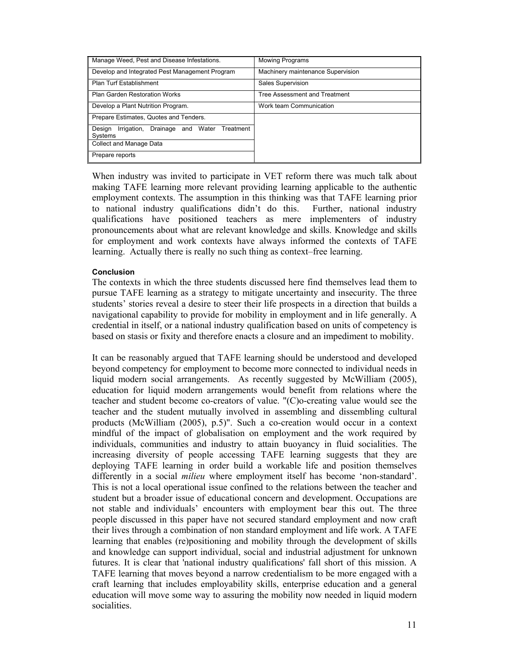| Manage Weed, Pest and Disease Infestations.                      | <b>Mowing Programs</b>               |
|------------------------------------------------------------------|--------------------------------------|
| Develop and Integrated Pest Management Program                   | Machinery maintenance Supervision    |
| Plan Turf Establishment                                          | Sales Supervision                    |
| <b>Plan Garden Restoration Works</b>                             | <b>Tree Assessment and Treatment</b> |
| Develop a Plant Nutrition Program.                               | Work team Communication              |
| Prepare Estimates, Quotes and Tenders.                           |                                      |
| Irrigation, Drainage and Water<br>Treatment<br>Desian<br>Systems |                                      |
| Collect and Manage Data                                          |                                      |
| Prepare reports                                                  |                                      |

When industry was invited to participate in VET reform there was much talk about making TAFE learning more relevant providing learning applicable to the authentic employment contexts. The assumption in this thinking was that TAFE learning prior to national industry qualifications didn't do this. Further, national industry qualifications have positioned teachers as mere implementers of industry pronouncements about what are relevant knowledge and skills. Knowledge and skills for employment and work contexts have always informed the contexts of TAFE learning. Actually there is really no such thing as context–free learning.

## **Conclusion**

The contexts in which the three students discussed here find themselves lead them to pursue TAFE learning as a strategy to mitigate uncertainty and insecurity. The three students' stories reveal a desire to steer their life prospects in a direction that builds a navigational capability to provide for mobility in employment and in life generally. A credential in itself, or a national industry qualification based on units of competency is based on stasis or fixity and therefore enacts a closure and an impediment to mobility.

It can be reasonably argued that TAFE learning should be understood and developed beyond competency for employment to become more connected to individual needs in liquid modern social arrangements. As recently suggested by McWilliam (2005), education for liquid modern arrangements would benefit from relations where the teacher and student become co-creators of value. "(C)o-creating value would see the teacher and the student mutually involved in assembling and dissembling cultural products (McWilliam (2005), p.5)". Such a co-creation would occur in a context mindful of the impact of globalisation on employment and the work required by individuals, communities and industry to attain buoyancy in fluid socialities. The increasing diversity of people accessing TAFE learning suggests that they are deploying TAFE learning in order build a workable life and position themselves differently in a social *milieu* where employment itself has become 'non-standard'. This is not a local operational issue confined to the relations between the teacher and student but a broader issue of educational concern and development. Occupations are not stable and individuals' encounters with employment bear this out. The three people discussed in this paper have not secured standard employment and now craft their lives through a combination of non standard employment and life work. A TAFE learning that enables (re)positioning and mobility through the development of skills and knowledge can support individual, social and industrial adjustment for unknown futures. It is clear that 'national industry qualifications' fall short of this mission. A TAFE learning that moves beyond a narrow credentialism to be more engaged with a craft learning that includes employability skills, enterprise education and a general education will move some way to assuring the mobility now needed in liquid modern socialities.